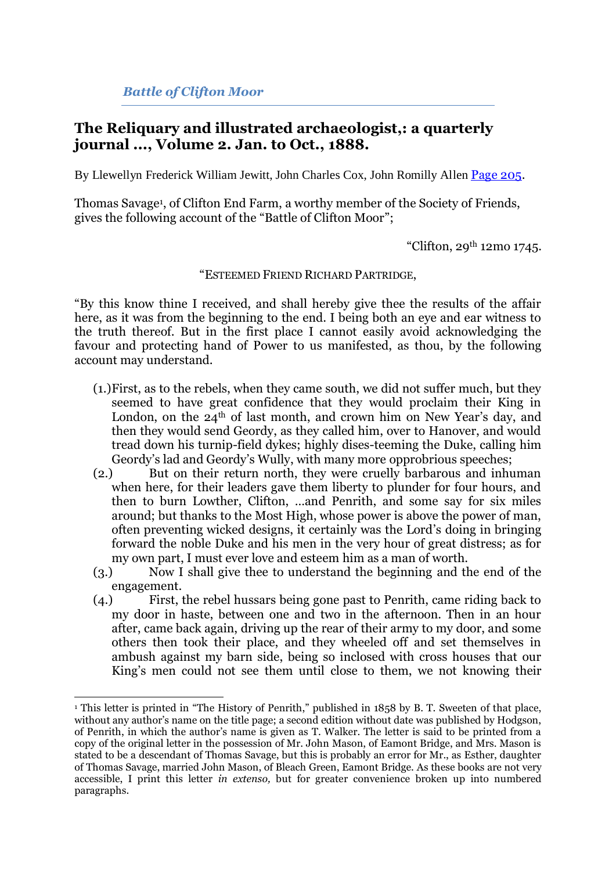*Battle of Clifton Moor*

## **The Reliquary and illustrated archaeologist,: a quarterly journal ..., Volume 2. Jan. to Oct., 1888.**

By Llewellyn Frederick William Jewitt, John Charles Cox, John Romilly Allen [Page 205.](http://books.google.com/books?id=Zp81AAAAMAAJ&lpg=PA174&ots=kseTvq0DEQ&dq=%22Clifton%20Moor%22%20journal&pg=PA205#v=onepage&q&f=false)

Thomas Savage<sup>1</sup> , of Clifton End Farm, a worthy member of the Society of Friends, gives the following account of the "Battle of Clifton Moor";

"Clifton, 29th 12mo 1745.

"ESTEEMED FRIEND RICHARD PARTRIDGE,

"By this know thine I received, and shall hereby give thee the results of the affair here, as it was from the beginning to the end. I being both an eye and ear witness to the truth thereof. But in the first place I cannot easily avoid acknowledging the favour and protecting hand of Power to us manifested, as thou, by the following account may understand.

- (1.)First, as to the rebels, when they came south, we did not suffer much, but they seemed to have great confidence that they would proclaim their King in London, on the  $24<sup>th</sup>$  of last month, and crown him on New Year's day, and then they would send Geordy, as they called him, over to Hanover, and would tread down his turnip-field dykes; highly dises-teeming the Duke, calling him Geordy's lad and Geordy's Wully, with many more opprobrious speeches;
- (2.) But on their return north, they were cruelly barbarous and inhuman when here, for their leaders gave them liberty to plunder for four hours, and then to burn Lowther, Clifton, …and Penrith, and some say for six miles around; but thanks to the Most High, whose power is above the power of man, often preventing wicked designs, it certainly was the Lord's doing in bringing forward the noble Duke and his men in the very hour of great distress; as for my own part, I must ever love and esteem him as a man of worth.
- (3.) Now I shall give thee to understand the beginning and the end of the
- engagement.<br>(4.) First. First, the rebel hussars being gone past to Penrith, came riding back to my door in haste, between one and two in the afternoon. Then in an hour after, came back again, driving up the rear of their army to my door, and some others then took their place, and they wheeled off and set themselves in ambush against my barn side, being so inclosed with cross houses that our King's men could not see them until close to them, we not knowing their

<sup>&</sup>lt;u>.</u> <sup>1</sup> This letter is printed in "The History of Penrith," published in 1858 by B. T. Sweeten of that place, without any author's name on the title page; a second edition without date was published by Hodgson, of Penrith, in which the author's name is given as T. Walker. The letter is said to be printed from a copy of the original letter in the possession of Mr. John Mason, of Eamont Bridge, and Mrs. Mason is stated to be a descendant of Thomas Savage, but this is probably an error for Mr., as Esther, daughter of Thomas Savage, married John Mason, of Bleach Green, Eamont Bridge. As these books are not very accessible, I print this letter *in extenso,* but for greater convenience broken up into numbered paragraphs.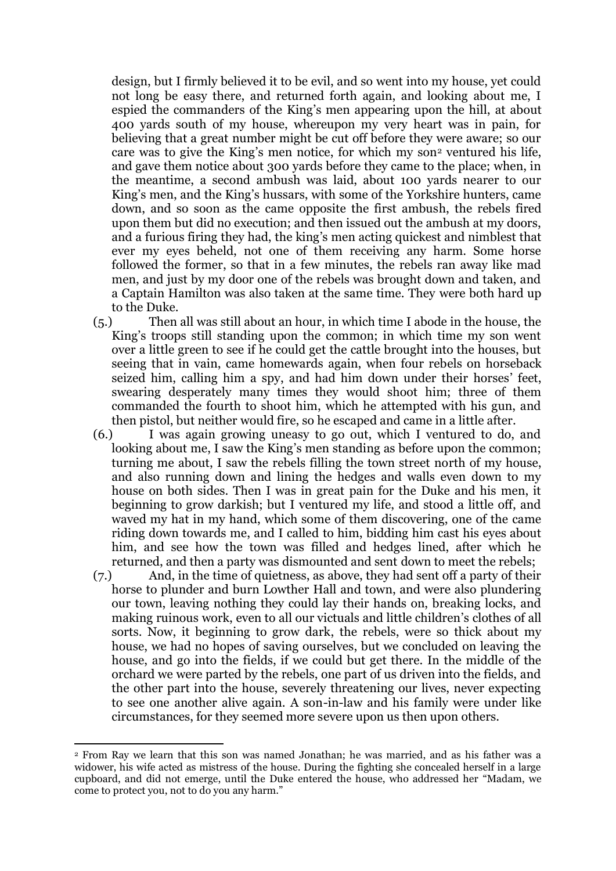design, but I firmly believed it to be evil, and so went into my house, yet could not long be easy there, and returned forth again, and looking about me, I espied the commanders of the King's men appearing upon the hill, at about 400 yards south of my house, whereupon my very heart was in pain, for believing that a great number might be cut off before they were aware; so our care was to give the King's men notice, for which my son<sup>2</sup> ventured his life, and gave them notice about 300 yards before they came to the place; when, in the meantime, a second ambush was laid, about 100 yards nearer to our King's men, and the King's hussars, with some of the Yorkshire hunters, came down, and so soon as the came opposite the first ambush, the rebels fired upon them but did no execution; and then issued out the ambush at my doors, and a furious firing they had, the king's men acting quickest and nimblest that ever my eyes beheld, not one of them receiving any harm. Some horse followed the former, so that in a few minutes, the rebels ran away like mad men, and just by my door one of the rebels was brought down and taken, and a Captain Hamilton was also taken at the same time. They were both hard up to the Duke.

(5.) Then all was still about an hour, in which time I abode in the house, the King's troops still standing upon the common; in which time my son went over a little green to see if he could get the cattle brought into the houses, but seeing that in vain, came homewards again, when four rebels on horseback seized him, calling him a spy, and had him down under their horses' feet, swearing desperately many times they would shoot him; three of them commanded the fourth to shoot him, which he attempted with his gun, and then pistol, but neither would fire, so he escaped and came in a little after.

(6.) I was again growing uneasy to go out, which I ventured to do, and looking about me, I saw the King's men standing as before upon the common; turning me about, I saw the rebels filling the town street north of my house, and also running down and lining the hedges and walls even down to my house on both sides. Then I was in great pain for the Duke and his men, it beginning to grow darkish; but I ventured my life, and stood a little off, and waved my hat in my hand, which some of them discovering, one of the came riding down towards me, and I called to him, bidding him cast his eyes about him, and see how the town was filled and hedges lined, after which he returned, and then a party was dismounted and sent down to meet the rebels;

(7.) And, in the time of quietness, as above, they had sent off a party of their horse to plunder and burn Lowther Hall and town, and were also plundering our town, leaving nothing they could lay their hands on, breaking locks, and making ruinous work, even to all our victuals and little children's clothes of all sorts. Now, it beginning to grow dark, the rebels, were so thick about my house, we had no hopes of saving ourselves, but we concluded on leaving the house, and go into the fields, if we could but get there. In the middle of the orchard we were parted by the rebels, one part of us driven into the fields, and the other part into the house, severely threatening our lives, never expecting to see one another alive again. A son-in-law and his family were under like circumstances, for they seemed more severe upon us then upon others.

<sup>&</sup>lt;u>.</u> <sup>2</sup> From Ray we learn that this son was named Jonathan; he was married, and as his father was a widower, his wife acted as mistress of the house. During the fighting she concealed herself in a large cupboard, and did not emerge, until the Duke entered the house, who addressed her "Madam, we come to protect you, not to do you any harm."